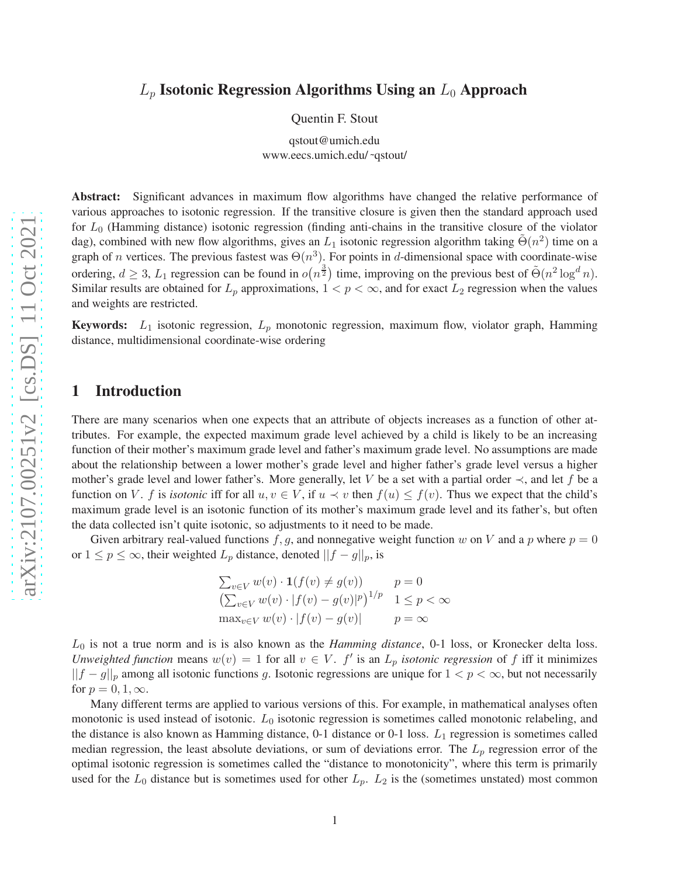# $L_p$  Isotonic Regression Algorithms Using an  $L_0$  Approach

Quentin F. Stout

qstout@umich.edu www.eecs.umich.edu/ ˜qstout/

Abstract: Significant advances in maximum flow algorithms have changed the relative performance of various approaches to isotonic regression. If the transitive closure is given then the standard approach used for  $L_0$  (Hamming distance) isotonic regression (finding anti-chains in the transitive closure of the violator dag), combined with new flow algorithms, gives an  $L_1$  isotonic regression algorithm taking  $\tilde{\Theta}(n^2)$  time on a graph of *n* vertices. The previous fastest was  $\Theta(n^3)$ . For points in d-dimensional space with coordinate-wise ordering,  $d \geq 3$ ,  $L_1$  regression can be found in  $o(n^{\frac{3}{2}})$  time, improving on the previous best of  $\tilde{\Theta}(n^2 \log^d n)$ . Similar results are obtained for  $L_p$  approximations,  $1 < p < \infty$ , and for exact  $L_2$  regression when the values and weights are restricted.

**Keywords:**  $L_1$  isotonic regression,  $L_p$  monotonic regression, maximum flow, violator graph, Hamming distance, multidimensional coordinate-wise ordering

### 1 Introduction

There are many scenarios when one expects that an attribute of objects increases as a function of other attributes. For example, the expected maximum grade level achieved by a child is likely to be an increasing function of their mother's maximum grade level and father's maximum grade level. No assumptions are made about the relationship between a lower mother's grade level and higher father's grade level versus a higher mother's grade level and lower father's. More generally, let V be a set with a partial order  $\prec$ , and let f be a function on V. f is *isotonic* iff for all  $u, v \in V$ , if  $u \prec v$  then  $f(u) \leq f(v)$ . Thus we expect that the child's maximum grade level is an isotonic function of its mother's maximum grade level and its father's, but often the data collected isn't quite isotonic, so adjustments to it need to be made.

Given arbitrary real-valued functions f, g, and nonnegative weight function w on V and a p where  $p = 0$ or  $1 \le p \le \infty$ , their weighted  $L_p$  distance, denoted  $||f - g||_p$ , is

$$
\sum_{v \in V} w(v) \cdot \mathbf{1}(f(v) \neq g(v)) \qquad p = 0
$$
  

$$
\left(\sum_{v \in V} w(v) \cdot |f(v) - g(v)|^p\right)^{1/p} \quad 1 \leq p < \infty
$$
  

$$
\max_{v \in V} w(v) \cdot |f(v) - g(v)| \qquad p = \infty
$$

 $L_0$  is not a true norm and is is also known as the *Hamming distance*, 0-1 loss, or Kronecker delta loss. *Unweighted function* means  $w(v) = 1$  for all  $v \in V$ .  $f'$  is an  $L_p$  *isotonic regression* of f iff it minimizes  $||f - g||_p$  among all isotonic functions g. Isotonic regressions are unique for  $1 < p < \infty$ , but not necessarily for  $p = 0, 1, \infty$ .

Many different terms are applied to various versions of this. For example, in mathematical analyses often monotonic is used instead of isotonic.  $L_0$  isotonic regression is sometimes called monotonic relabeling, and the distance is also known as Hamming distance,  $0-1$  distance or  $0-1$  loss.  $L_1$  regression is sometimes called median regression, the least absolute deviations, or sum of deviations error. The  $L_p$  regression error of the optimal isotonic regression is sometimes called the "distance to monotonicity", where this term is primarily used for the  $L_0$  distance but is sometimes used for other  $L_p$ .  $L_2$  is the (sometimes unstated) most common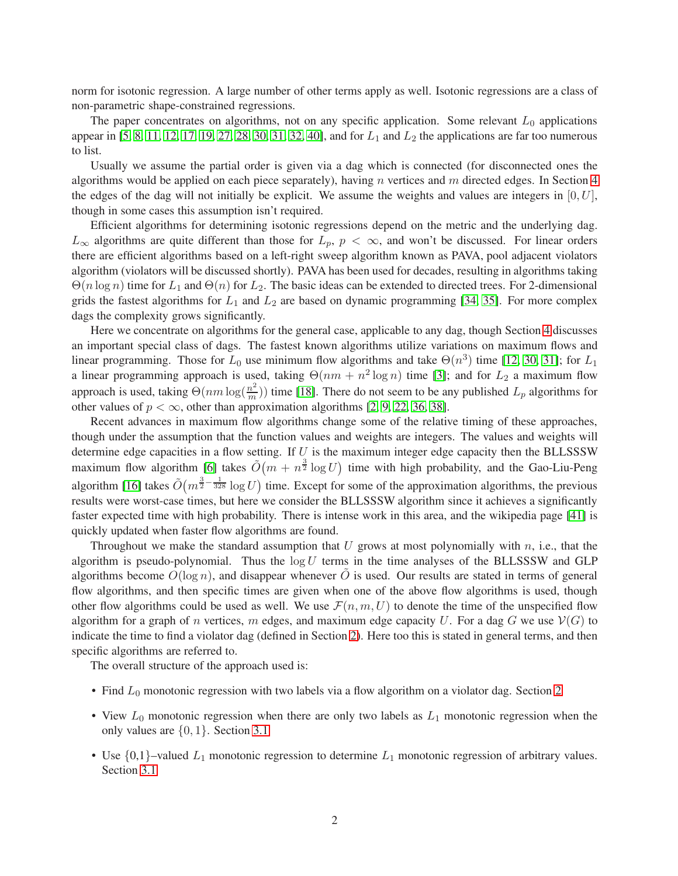norm for isotonic regression. A large number of other terms apply as well. Isotonic regressions are a class of non-parametric shape-constrained regressions.

The paper concentrates on algorithms, not on any specific application. Some relevant  $L_0$  applications appear in [\[5,](#page-10-0) [8,](#page-10-1) [11,](#page-11-0) [12,](#page-11-1) [17,](#page-11-2) [19,](#page-11-3) [27,](#page-12-0) [28,](#page-12-1) [30,](#page-12-2) [31,](#page-12-3) [32,](#page-12-4) [40\]](#page-12-5), and for  $L_1$  and  $L_2$  the applications are far too numerous to list.

Usually we assume the partial order is given via a dag which is connected (for disconnected ones the algorithms would be applied on each piece separately), having n vertices and m directed edges. In Section [4](#page-6-0) the edges of the dag will not initially be explicit. We assume the weights and values are integers in  $[0, U]$ , though in some cases this assumption isn't required.

Efficient algorithms for determining isotonic regressions depend on the metric and the underlying dag.  $L_{\infty}$  algorithms are quite different than those for  $L_p$ ,  $p < \infty$ , and won't be discussed. For linear orders there are efficient algorithms based on a left-right sweep algorithm known as PAVA, pool adjacent violators algorithm (violators will be discussed shortly). PAVA has been used for decades, resulting in algorithms taking  $\Theta(n \log n)$  time for  $L_1$  and  $\Theta(n)$  for  $L_2$ . The basic ideas can be extended to directed trees. For 2-dimensional grids the fastest algorithms for  $L_1$  and  $L_2$  are based on dynamic programming [\[34,](#page-12-6) [35\]](#page-12-7). For more complex dags the complexity grows significantly.

Here we concentrate on algorithms for the general case, applicable to any dag, though Section [4](#page-6-0) discusses an important special class of dags. The fastest known algorithms utilize variations on maximum flows and linear programming. Those for  $L_0$  use minimum flow algorithms and take  $\Theta(n^3)$  time [\[12,](#page-11-1) [30,](#page-12-2) [31\]](#page-12-3); for  $L_1$ a linear programming approach is used, taking  $\Theta(nm + n^2 \log n)$  time [\[3\]](#page-10-2); and for  $L_2$  a maximum flow approach is used, taking  $\Theta(nm\log(\frac{n^2}{m}))$  time [\[18\]](#page-11-4). There do not seem to be any published  $L_p$  algorithms for other values of  $p < \infty$ , other than approximation algorithms [\[2,](#page-10-3) [9,](#page-11-5) [22,](#page-11-6) [36,](#page-12-8) [38\]](#page-12-9).

Recent advances in maximum flow algorithms change some of the relative timing of these approaches, though under the assumption that the function values and weights are integers. The values and weights will determine edge capacities in a flow setting. If  $U$  is the maximum integer edge capacity then the BLLSSSW maximum flow algorithm [\[6\]](#page-10-4) takes  $\tilde{O}(m + n^{\frac{3}{2}} \log U)$  time with high probability, and the Gao-Liu-Peng algorithm [\[16\]](#page-11-7) takes  $\tilde{O}(m^{\frac{3}{2}-\frac{1}{328}} \log U)$  time. Except for some of the approximation algorithms, the previous results were worst-case times, but here we consider the BLLSSSW algorithm since it achieves a significantly faster expected time with high probability. There is intense work in this area, and the wikipedia page [\[41\]](#page-12-10) is quickly updated when faster flow algorithms are found.

Throughout we make the standard assumption that  $U$  grows at most polynomially with  $n$ , i.e., that the algorithm is pseudo-polynomial. Thus the  $log U$  terms in the time analyses of the BLLSSSW and GLP algorithms become  $O(\log n)$ , and disappear whenever O is used. Our results are stated in terms of general flow algorithms, and then specific times are given when one of the above flow algorithms is used, though other flow algorithms could be used as well. We use  $\mathcal{F}(n, m, U)$  to denote the time of the unspecified flow algorithm for a graph of n vertices, m edges, and maximum edge capacity U. For a dag G we use  $V(G)$  to indicate the time to find a violator dag (defined in Section [2\)](#page-2-0). Here too this is stated in general terms, and then specific algorithms are referred to.

The overall structure of the approach used is:

- Find  $L_0$  monotonic regression with two labels via a flow algorithm on a violator dag. Section [2](#page-2-0)
- View  $L_0$  monotonic regression when there are only two labels as  $L_1$  monotonic regression when the only values are {0, 1}. Section [3.1](#page-4-0)
- Use  $\{0,1\}$ –valued  $L_1$  monotonic regression to determine  $L_1$  monotonic regression of arbitrary values. Section [3.1](#page-4-0)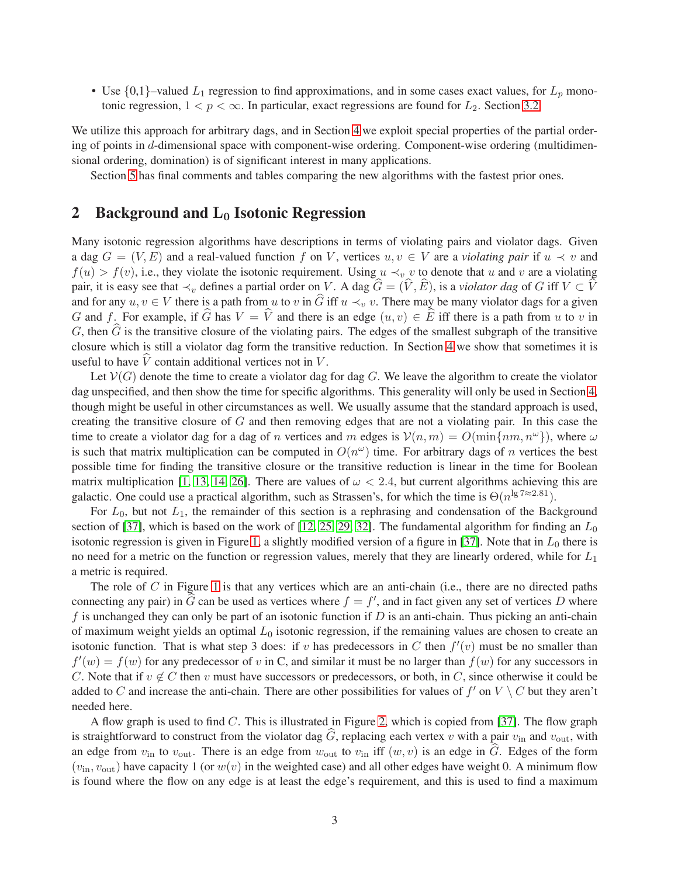• Use  $\{0,1\}$ –valued  $L_1$  regression to find approximations, and in some cases exact values, for  $L_p$  monotonic regression,  $1 < p < \infty$ . In particular, exact regressions are found for  $L_2$ . Section [3.2](#page-5-0)

We utilize this approach for arbitrary dags, and in Section [4](#page-6-0) we exploit special properties of the partial ordering of points in d-dimensional space with component-wise ordering. Component-wise ordering (multidimensional ordering, domination) is of significant interest in many applications.

Section [5](#page-8-0) has final comments and tables comparing the new algorithms with the fastest prior ones.

## <span id="page-2-0"></span>2 Background and  $L_0$  Isotonic Regression

Many isotonic regression algorithms have descriptions in terms of violating pairs and violator dags. Given a dag  $G = (V, E)$  and a real-valued function f on V, vertices  $u, v \in V$  are a *violating pair* if  $u \prec v$  and  $f(u) > f(v)$ , i.e., they violate the isotonic requirement. Using  $u \prec_v v$  to denote that u and v are a violating pair, it is easy see that  $\prec_v$  defines a partial order on V. A dag  $\hat{G} = (\hat{V}, \hat{E})$ , is a *violator dag* of G iff  $V \subset \hat{V}$ and for any  $u, v \in V$  there is a path from u to v in  $\widehat{G}$  iff  $u \prec_v v$ . There may be many violator dags for a given G and f. For example, if  $\widehat{G}$  has  $V = \widehat{V}$  and there is an edge  $(u, v) \in \widehat{E}$  iff there is a path from u to v in G, then  $\tilde{G}$  is the transitive closure of the violating pairs. The edges of the smallest subgraph of the transitive closure which is still a violator dag form the transitive reduction. In Section [4](#page-6-0) we show that sometimes it is useful to have  $\hat{V}$  contain additional vertices not in V.

Let  $V(G)$  denote the time to create a violator dag for dag G. We leave the algorithm to create the violator dag unspecified, and then show the time for specific algorithms. This generality will only be used in Section [4,](#page-6-0) though might be useful in other circumstances as well. We usually assume that the standard approach is used, creating the transitive closure of  $G$  and then removing edges that are not a violating pair. In this case the time to create a violator dag for a dag of n vertices and m edges is  $V(n,m) = O(\min\{nm, n^{\omega}\})$ , where  $\omega$ is such that matrix multiplication can be computed in  $O(n^{\omega})$  time. For arbitrary dags of *n* vertices the best possible time for finding the transitive closure or the transitive reduction is linear in the time for Boolean matrix multiplication [\[1,](#page-10-5) [13,](#page-11-8) [14,](#page-11-9) [26\]](#page-11-10). There are values of  $\omega < 2.4$ , but current algorithms achieving this are galactic. One could use a practical algorithm, such as Strassen's, for which the time is  $\Theta(n^{\lg 7} \approx 2.81)$ .

For  $L_0$ , but not  $L_1$ , the remainder of this section is a rephrasing and condensation of the Background section of [\[37\]](#page-12-11), which is based on the work of [\[12,](#page-11-1) [25,](#page-11-11) [29,](#page-12-12) [32\]](#page-12-4). The fundamental algorithm for finding an  $L_0$ isotonic regression is given in Figure [1,](#page-3-0) a slightly modified version of a figure in  $[37]$ . Note that in  $L_0$  there is no need for a metric on the function or regression values, merely that they are linearly ordered, while for  $L_1$ a metric is required.

The role of  $C$  in Figure [1](#page-3-0) is that any vertices which are an anti-chain (i.e., there are no directed paths connecting any pair) in  $\widehat{G}$  can be used as vertices where  $f = f'$ , and in fact given any set of vertices D where f is unchanged they can only be part of an isotonic function if  $D$  is an anti-chain. Thus picking an anti-chain of maximum weight yields an optimal  $L_0$  isotonic regression, if the remaining values are chosen to create an isotonic function. That is what step 3 does: if v has predecessors in C then  $f'(v)$  must be no smaller than  $f'(w) = f(w)$  for any predecessor of v in C, and similar it must be no larger than  $f(w)$  for any successors in C. Note that if  $v \notin C$  then v must have successors or predecessors, or both, in C, since otherwise it could be added to C and increase the anti-chain. There are other possibilities for values of  $f'$  on  $V \setminus C$  but they aren't needed here.

A flow graph is used to find  $C$ . This is illustrated in Figure [2,](#page-3-1) which is copied from [\[37\]](#page-12-11). The flow graph is straightforward to construct from the violator dag  $\hat{G}$ , replacing each vertex v with a pair  $v_{\text{in}}$  and  $v_{\text{out}}$ , with an edge from  $v_{\text{in}}$  to  $v_{\text{out}}$ . There is an edge from  $w_{\text{out}}$  to  $v_{\text{in}}$  iff  $(w, v)$  is an edge in  $\hat{G}$ . Edges of the form  $(v_{\text{in}}, v_{\text{out}})$  have capacity 1 (or  $w(v)$  in the weighted case) and all other edges have weight 0. A minimum flow is found where the flow on any edge is at least the edge's requirement, and this is used to find a maximum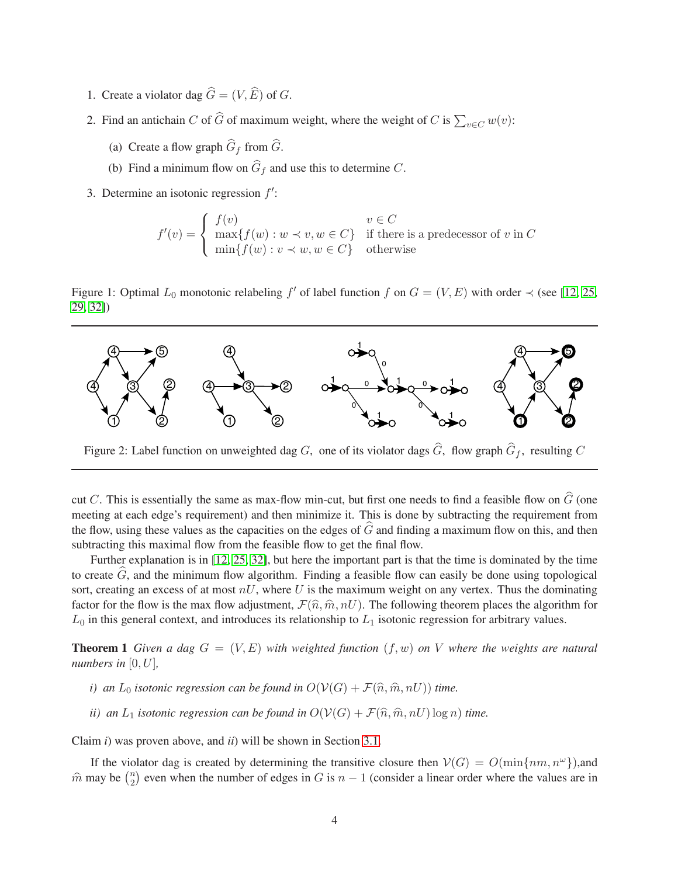- 1. Create a violator dag  $\hat{G} = (V, \hat{E})$  of G.
- 2. Find an antichain C of  $\widehat{G}$  of maximum weight, where the weight of C is  $\sum_{v \in C} w(v)$ :
	- (a) Create a flow graph  $G_f$  from  $G$ .
	- (b) Find a minimum flow on  $G_f$  and use this to determine C.
- 3. Determine an isotonic regression  $f'$ :

$$
f'(v) = \begin{cases} f(v) & v \in C \\ \max\{f(w) : w \prec v, w \in C\} & \text{if there is a predecessor of } v \text{ in } C \\ \min\{f(w) : v \prec w, w \in C\} & \text{otherwise} \end{cases}
$$

<span id="page-3-0"></span>Figure 1: Optimal  $L_0$  monotonic relabeling f' of label function f on  $G = (V, E)$  with order  $\prec$  (see [\[12,](#page-11-1) [25,](#page-11-11) [29,](#page-12-12) [32\]](#page-12-4))



<span id="page-3-1"></span>Figure 2: Label function on unweighted dag G, one of its violator dags G, flow graph  $G_f$ , resulting C

cut C. This is essentially the same as max-flow min-cut, but first one needs to find a feasible flow on  $\hat{G}$  (one meeting at each edge's requirement) and then minimize it. This is done by subtracting the requirement from the flow, using these values as the capacities on the edges of  $\widehat{G}$  and finding a maximum flow on this, and then subtracting this maximal flow from the feasible flow to get the final flow.

Further explanation is in [\[12,](#page-11-1) [25,](#page-11-11) [32\]](#page-12-4), but here the important part is that the time is dominated by the time to create  $G$ , and the minimum flow algorithm. Finding a feasible flow can easily be done using topological sort, creating an excess of at most  $nU$ , where U is the maximum weight on any vertex. Thus the dominating factor for the flow is the max flow adjustment,  $\mathcal{F}(\hat{n}, \hat{m}, nU)$ . The following theorem places the algorithm for  $L_0$  in this general context, and introduces its relationship to  $L_1$  isotonic regression for arbitrary values.

<span id="page-3-2"></span>**Theorem 1** *Given a dag*  $G = (V, E)$  *with weighted function*  $(f, w)$  *on V where the weights are natural numbers in*  $[0, U]$ *,* 

- *i)* an  $L_0$  *isotonic regression can be found in*  $O(V(G) + \mathcal{F}(\hat{n}, \hat{m}, nU))$  *time.*
- *ii)* an  $L_1$  *isotonic regression can be found in*  $O(V(G) + \mathcal{F}(\hat{n}, \hat{m}, nU) \log n)$  *time.*

Claim *i*) was proven above, and *ii*) will be shown in Section [3.1.](#page-4-0)

If the violator dag is created by determining the transitive closure then  $V(G) = O(\min\{nm, n^{\omega}\})$ , and  $\hat{m}$  may be  $\binom{n}{2}$  $n_2$ ) even when the number of edges in G is  $n-1$  (consider a linear order where the values are in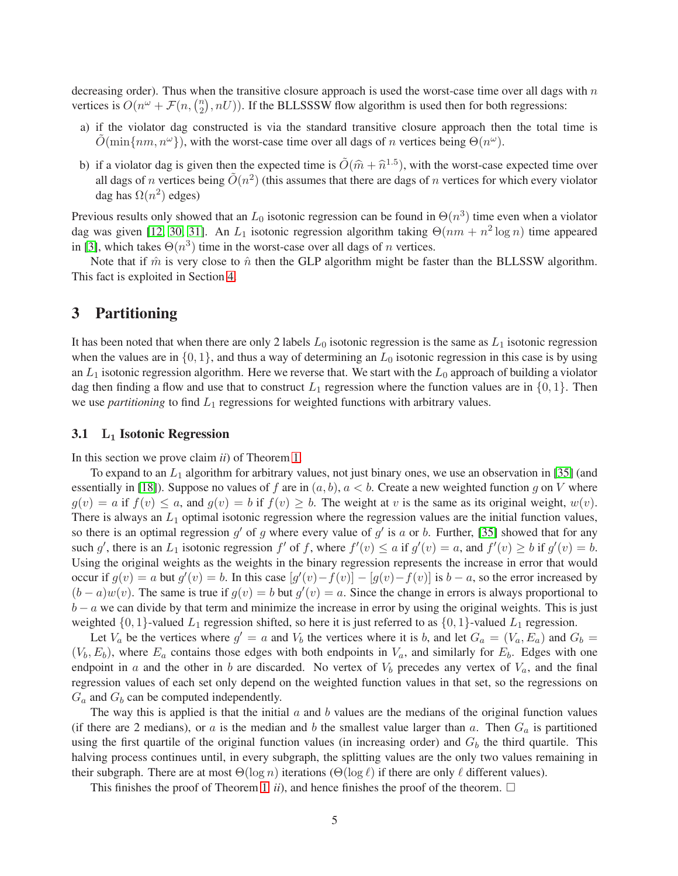decreasing order). Thus when the transitive closure approach is used the worst-case time over all dags with  $n$ vertices is  $O(n^{\omega} + \mathcal{F}(n, {n \choose 2})$  $\binom{n}{2}$ ,  $nU$ )). If the BLLSSSW flow algorithm is used then for both regressions:

- a) if the violator dag constructed is via the standard transitive closure approach then the total time is  $\tilde{O}(\min\{nm, n^{\omega}\})$ , with the worst-case time over all dags of n vertices being  $\Theta(n^{\omega})$ .
- b) if a violator dag is given then the expected time is  $\tilde{O}(\hat{m} + \hat{n}^{1.5})$ , with the worst-case expected time over all dags of n vertices being  $\tilde{O}(n^2)$  (this assumes that there are dags of n vertices for which every violator dag has  $\Omega(n^2)$  edges)

Previous results only showed that an  $L_0$  isotonic regression can be found in  $\Theta(n^3)$  time even when a violator dag was given [\[12,](#page-11-1) [30,](#page-12-2) [31\]](#page-12-3). An  $L_1$  isotonic regression algorithm taking  $\Theta(nm + n^2 \log n)$  time appeared in [\[3\]](#page-10-2), which takes  $\Theta(n^3)$  time in the worst-case over all dags of *n* vertices.

Note that if  $\hat{m}$  is very close to  $\hat{n}$  then the GLP algorithm might be faster than the BLLSSW algorithm. This fact is exploited in Section [4.](#page-6-0)

## 3 Partitioning

It has been noted that when there are only 2 labels  $L_0$  isotonic regression is the same as  $L_1$  isotonic regression when the values are in  $\{0, 1\}$ , and thus a way of determining an  $L_0$  isotonic regression in this case is by using an  $L_1$  isotonic regression algorithm. Here we reverse that. We start with the  $L_0$  approach of building a violator dag then finding a flow and use that to construct  $L_1$  regression where the function values are in  $\{0, 1\}$ . Then we use *partitioning* to find  $L_1$  regressions for weighted functions with arbitrary values.

### <span id="page-4-0"></span>3.1  $L_1$  Isotonic Regression

In this section we prove claim *ii*) of Theorem [1.](#page-3-2)

To expand to an  $L_1$  algorithm for arbitrary values, not just binary ones, we use an observation in [\[35\]](#page-12-7) (and essentially in [\[18\]](#page-11-4)). Suppose no values of f are in  $(a, b)$ ,  $a < b$ . Create a new weighted function q on V where  $g(v) = a$  if  $f(v) \leq a$ , and  $g(v) = b$  if  $f(v) \geq b$ . The weight at v is the same as its original weight,  $w(v)$ . There is always an  $L_1$  optimal isotonic regression where the regression values are the initial function values, so there is an optimal regression  $g'$  of g where every value of  $g'$  is a or b. Further, [\[35\]](#page-12-7) showed that for any such g', there is an  $L_1$  isotonic regression f' of f, where  $f'(v) \le a$  if  $g'(v) = a$ , and  $f'(v) \ge b$  if  $g'(v) = b$ . Using the original weights as the weights in the binary regression represents the increase in error that would occur if  $g(v) = a$  but  $g'(v) = b$ . In this case  $[g'(v) - f(v)] - [g(v) - f(v)]$  is  $b - a$ , so the error increased by  $(b-a)w(v)$ . The same is true if  $g(v) = b$  but  $g'(v) = a$ . Since the change in errors is always proportional to  $b - a$  we can divide by that term and minimize the increase in error by using the original weights. This is just weighted  $\{0, 1\}$ -valued  $L_1$  regression shifted, so here it is just referred to as  $\{0, 1\}$ -valued  $L_1$  regression.

Let  $V_a$  be the vertices where  $g' = a$  and  $V_b$  the vertices where it is b, and let  $G_a = (V_a, E_a)$  and  $G_b =$  $(V_b, E_b)$ , where  $E_a$  contains those edges with both endpoints in  $V_a$ , and similarly for  $E_b$ . Edges with one endpoint in a and the other in b are discarded. No vertex of  $V_b$  precedes any vertex of  $V_a$ , and the final regression values of each set only depend on the weighted function values in that set, so the regressions on  $G_a$  and  $G_b$  can be computed independently.

The way this is applied is that the initial  $a$  and  $b$  values are the medians of the original function values (if there are 2 medians), or a is the median and b the smallest value larger than a. Then  $G_a$  is partitioned using the first quartile of the original function values (in increasing order) and  $G<sub>b</sub>$  the third quartile. This halving process continues until, in every subgraph, the splitting values are the only two values remaining in their subgraph. There are at most  $\Theta(\log n)$  iterations  $(\Theta(\log \ell))$  if there are only  $\ell$  different values).

This finishes the proof of Theorem [1](#page-3-2) *ii*), and hence finishes the proof of the theorem.  $\Box$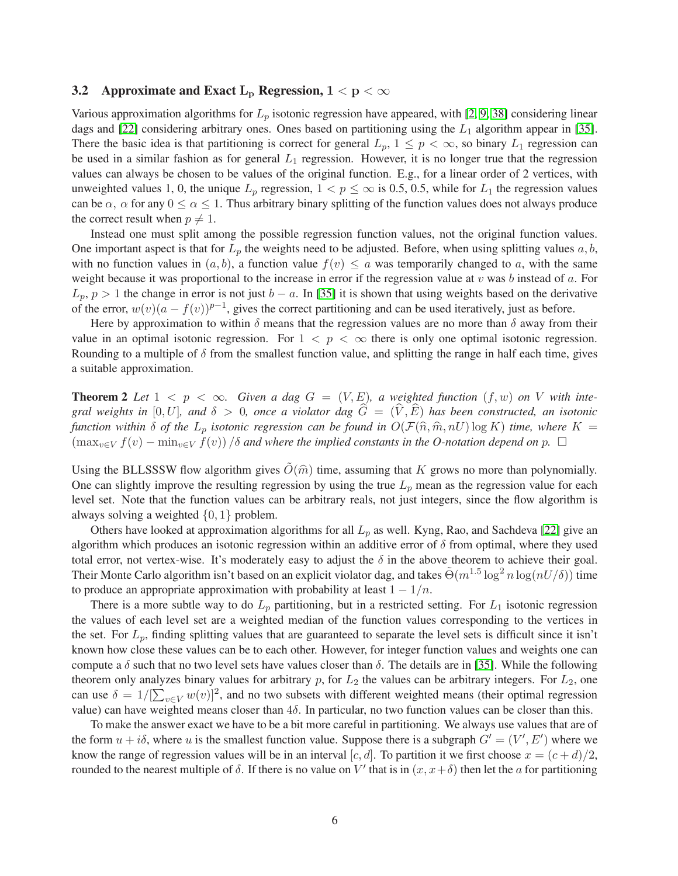### <span id="page-5-0"></span>**3.2** Approximate and Exact L<sub>p</sub> Regression,  $1 < p < \infty$

Various approximation algorithms for  $L_p$  isotonic regression have appeared, with [\[2,](#page-10-3) [9,](#page-11-5) [38\]](#page-12-9) considering linear dags and [\[22\]](#page-11-6) considering arbitrary ones. Ones based on partitioning using the  $L_1$  algorithm appear in [\[35\]](#page-12-7). There the basic idea is that partitioning is correct for general  $L_p$ ,  $1 \leq p < \infty$ , so binary  $L_1$  regression can be used in a similar fashion as for general  $L_1$  regression. However, it is no longer true that the regression values can always be chosen to be values of the original function. E.g., for a linear order of 2 vertices, with unweighted values 1, 0, the unique  $L_p$  regression,  $1 < p \le \infty$  is 0.5, 0.5, while for  $L_1$  the regression values can be  $\alpha$ ,  $\alpha$  for any  $0 \le \alpha \le 1$ . Thus arbitrary binary splitting of the function values does not always produce the correct result when  $p \neq 1$ .

Instead one must split among the possible regression function values, not the original function values. One important aspect is that for  $L_p$  the weights need to be adjusted. Before, when using splitting values  $a, b$ , with no function values in  $(a, b)$ , a function value  $f(v) \le a$  was temporarily changed to a, with the same weight because it was proportional to the increase in error if the regression value at  $v$  was  $b$  instead of  $a$ . For  $L_p$ ,  $p > 1$  the change in error is not just  $b - a$ . In [\[35\]](#page-12-7) it is shown that using weights based on the derivative of the error,  $w(v)(a - f(v))^{p-1}$ , gives the correct partitioning and can be used iteratively, just as before.

Here by approximation to within  $\delta$  means that the regression values are no more than  $\delta$  away from their value in an optimal isotonic regression. For  $1 < p < \infty$  there is only one optimal isotonic regression. Rounding to a multiple of  $\delta$  from the smallest function value, and splitting the range in half each time, gives a suitable approximation.

<span id="page-5-1"></span>**Theorem 2** Let  $1 \leq p \leq \infty$ . Given a dag  $G = (V, E)$ , a weighted function  $(f, w)$  on V with inte*gral weights in* [0, U], and  $\delta > 0$ , once a violator dag  $G = (V, E)$  has been constructed, an isotonic *function within*  $\delta$  *of the*  $L_p$  *isotonic regression can be found in*  $O(\mathcal{F}(\hat{n}, \hat{m}, nU) \log K)$  *time, where*  $K =$  $(\max_{v \in V} f(v) - \min_{v \in V} f(v)) / \delta$  *and where the implied constants in the O-notation depend on p.*  $\Box$ 

Using the BLLSSSW flow algorithm gives  $O(\hat{m})$  time, assuming that K grows no more than polynomially. One can slightly improve the resulting regression by using the true  $L_p$  mean as the regression value for each level set. Note that the function values can be arbitrary reals, not just integers, since the flow algorithm is always solving a weighted  $\{0, 1\}$  problem.

Others have looked at approximation algorithms for all  $L_p$  as well. Kyng, Rao, and Sachdeva [\[22\]](#page-11-6) give an algorithm which produces an isotonic regression within an additive error of  $\delta$  from optimal, where they used total error, not vertex-wise. It's moderately easy to adjust the  $\delta$  in the above theorem to achieve their goal. Their Monte Carlo algorithm isn't based on an explicit violator dag, and takes  $\tilde{\Theta}(m^{1.5}\log^2 n \log(nU/\delta))$  time to produce an appropriate approximation with probability at least  $1 - 1/n$ .

There is a more subtle way to do  $L_p$  partitioning, but in a restricted setting. For  $L_1$  isotonic regression the values of each level set are a weighted median of the function values corresponding to the vertices in the set. For  $L_p$ , finding splitting values that are guaranteed to separate the level sets is difficult since it isn't known how close these values can be to each other. However, for integer function values and weights one can compute a  $\delta$  such that no two level sets have values closer than  $\delta$ . The details are in [\[35\]](#page-12-7). While the following theorem only analyzes binary values for arbitrary  $p$ , for  $L_2$  the values can be arbitrary integers. For  $L_2$ , one can use  $\delta = 1/[\sum_{v \in V} w(v)]^2$ , and no two subsets with different weighted means (their optimal regression value) can have weighted means closer than  $4\delta$ . In particular, no two function values can be closer than this.

To make the answer exact we have to be a bit more careful in partitioning. We always use values that are of the form  $u + i\delta$ , where u is the smallest function value. Suppose there is a subgraph  $G' = (V', E')$  where we know the range of regression values will be in an interval [c, d]. To partition it we first choose  $x = (c + d)/2$ , rounded to the nearest multiple of δ. If there is no value on V' that is in  $(x, x + δ)$  then let the a for partitioning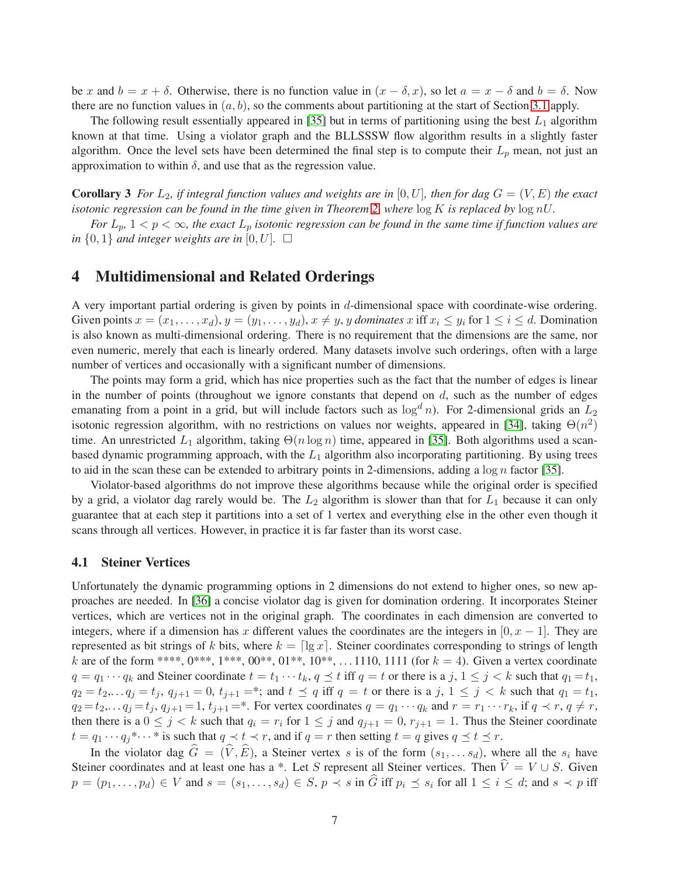be x and  $b = x + \delta$ . Otherwise, there is no function value in  $(x - \delta, x)$ , so let  $a = x - \delta$  and  $b = \delta$ . Now there are no function values in  $(a, b)$ , so the comments about partitioning at the start of Section [3.1](#page-4-0) apply.

The following result essentially appeared in [\[35\]](#page-12-7) but in terms of partitioning using the best  $L_1$  algorithm known at that time. Using a violator graph and the BLLSSSW flow algorithm results in a slightly faster algorithm. Once the level sets have been determined the final step is to compute their  $L_p$  mean, not just an approximation to within  $\delta$ , and use that as the regression value.

<span id="page-6-1"></span>**Corollary 3** For  $L_2$ , if integral function values and weights are in [0, U], then for dag  $G = (V, E)$  the exact *isotonic regression can be found in the time given in Theorem [2,](#page-5-1) where* log K *is replaced by* log nU*.*

*For*  $L_p$ ,  $1 < p < \infty$ , the exact  $L_p$  *isotonic regression can be found in the same time if function values are in*  $\{0,1\}$  *and integer weights are in*  $[0, U]$ *.*  $\Box$ 

## <span id="page-6-0"></span>4 Multidimensional and Related Orderings

A very important partial ordering is given by points in d-dimensional space with coordinate-wise ordering. Given points  $x = (x_1, \ldots, x_d)$ ,  $y = (y_1, \ldots, y_d)$ ,  $x \neq y$ , y *dominates* x iff  $x_i \leq y_i$  for  $1 \leq i \leq d$ . Domination is also known as multi-dimensional ordering. There is no requirement that the dimensions are the same, nor even numeric, merely that each is linearly ordered. Many datasets involve such orderings, often with a large number of vertices and occasionally with a significant number of dimensions.

The points may form a grid, which has nice properties such as the fact that the number of edges is linear in the number of points (throughout we ignore constants that depend on  $d$ , such as the number of edges emanating from a point in a grid, but will include factors such as  $\log^d n$ ). For 2-dimensional grids an  $L_2$ isotonic regression algorithm, with no restrictions on values nor weights, appeared in [\[34\]](#page-12-6), taking  $\Theta(n^2)$ time. An unrestricted  $L_1$  algorithm, taking  $\Theta(n \log n)$  time, appeared in [\[35\]](#page-12-7). Both algorithms used a scanbased dynamic programming approach, with the  $L_1$  algorithm also incorporating partitioning. By using trees to aid in the scan these can be extended to arbitrary points in 2-dimensions, adding a  $\log n$  factor [\[35\]](#page-12-7).

Violator-based algorithms do not improve these algorithms because while the original order is specified by a grid, a violator dag rarely would be. The  $L_2$  algorithm is slower than that for  $L_1$  because it can only guarantee that at each step it partitions into a set of 1 vertex and everything else in the other even though it scans through all vertices. However, in practice it is far faster than its worst case.

#### 4.1 Steiner Vertices

Unfortunately the dynamic programming options in 2 dimensions do not extend to higher ones, so new approaches are needed. In [\[36\]](#page-12-8) a concise violator dag is given for domination ordering. It incorporates Steiner vertices, which are vertices not in the original graph. The coordinates in each dimension are converted to integers, where if a dimension has x different values the coordinates are the integers in  $[0, x - 1]$ . They are represented as bit strings of k bits, where  $k = \lfloor \lg x \rfloor$ . Steiner coordinates corresponding to strings of length k are of the form \*\*\*\*,  $0^{***}$ ,  $1^{***}$ ,  $00^{**}$ ,  $01^{**}$ ,  $10^{**}$ ,  $\ldots$  1110, 1111 (for  $k = 4$ ). Given a vertex coordinate  $q = q_1 \cdots q_k$  and Steiner coordinate  $t = t_1 \cdots t_k$ ,  $q \le t$  iff  $q = t$  or there is a j,  $1 \le j \le k$  such that  $q_1 = t_1$ ,  $q_2 = t_2,... q_j = t_j, q_{j+1} = 0, t_{j+1} = *;$  and  $t \leq q$  iff  $q = t$  or there is a j,  $1 \leq j < k$  such that  $q_1 = t_1$ ,  $q_2 = t_2, \ldots q_j = t_j, q_{j+1} = 1, t_{j+1} = *$ . For vertex coordinates  $q = q_1 \cdots q_k$  and  $r = r_1 \cdots r_k$ , if  $q \prec r, q \neq r$ , then there is a  $0 \leq j \leq k$  such that  $q_i = r_i$  for  $1 \leq j$  and  $q_{i+1} = 0$ ,  $r_{i+1} = 1$ . Thus the Steiner coordinate  $t = q_1 \cdots q_i^* \cdots^*$  is such that  $q \prec t \prec r$ , and if  $q = r$  then setting  $t = q$  gives  $q \le t \le r$ .

In the violator dag  $\hat{G} = (\hat{V}, \hat{E})$ , a Steiner vertex s is of the form  $(s_1, \ldots s_d)$ , where all the s<sub>i</sub> have Steiner coordinates and at least one has a \*. Let S represent all Steiner vertices. Then  $\hat{V} = V \cup S$ . Given  $p = (p_1, \ldots, p_d) \in V$  and  $s = (s_1, \ldots, s_d) \in S$ ,  $p \prec s$  in  $\widehat{G}$  iff  $p_i \preceq s_i$  for all  $1 \leq i \leq d$ ; and  $s \prec p$  iff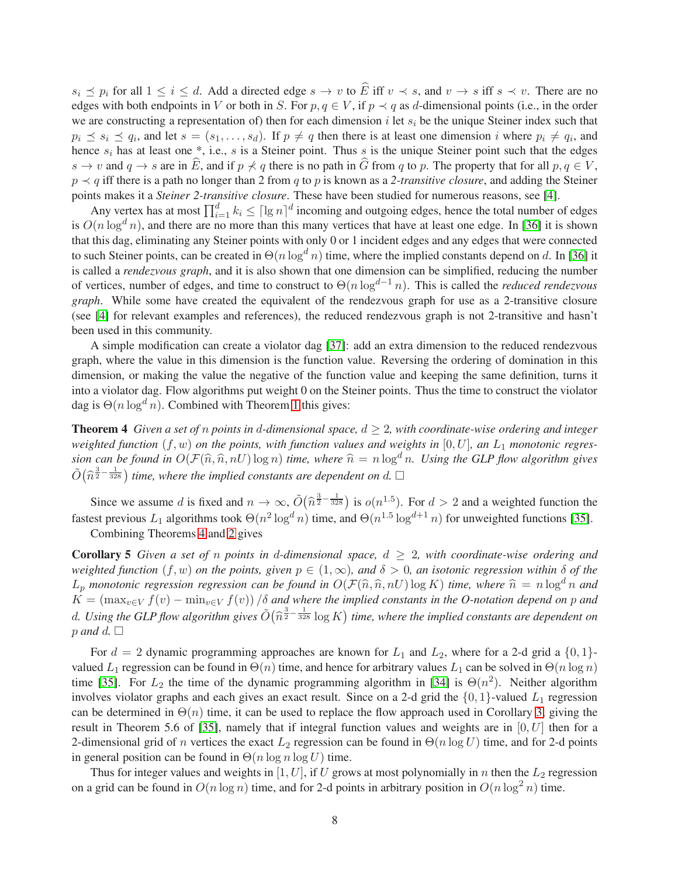$s_i \preceq p_i$  for all  $1 \leq i \leq d$ . Add a directed edge  $s \to v$  to  $\widehat{E}$  iff  $v \prec s$ , and  $v \to s$  iff  $s \prec v$ . There are no edges with both endpoints in V or both in S. For  $p, q \in V$ , if  $p \prec q$  as d-dimensional points (i.e., in the order we are constructing a representation of) then for each dimension i let  $s_i$  be the unique Steiner index such that  $p_i \leq s_i \leq q_i$ , and let  $s = (s_1, \ldots, s_d)$ . If  $p \neq q$  then there is at least one dimension i where  $p_i \neq q_i$ , and hence  $s_i$  has at least one  $*$ , i.e., s is a Steiner point. Thus s is the unique Steiner point such that the edges  $s \to v$  and  $q \to s$  are in  $\widehat{E}$ , and if  $p \not\prec q$  there is no path in  $\widehat{G}$  from q to p. The property that for all  $p, q \in V$ . p ≺ q iff there is a path no longer than 2 from q to p is known as a *2-transitive closure*, and adding the Steiner points makes it a *Steiner 2-transitive closure*. These have been studied for numerous reasons, see [\[4\]](#page-10-6).

Any vertex has at most  $\prod_{i=1}^d k_i \leq \lceil \lg n \rceil^d$  incoming and outgoing edges, hence the total number of edges is  $O(n \log^d n)$ , and there are no more than this many vertices that have at least one edge. In [\[36\]](#page-12-8) it is shown that this dag, eliminating any Steiner points with only 0 or 1 incident edges and any edges that were connected to such Steiner points, can be created in  $\Theta(n \log^d n)$  time, where the implied constants depend on d. In [\[36\]](#page-12-8) it is called a *rendezvous graph*, and it is also shown that one dimension can be simplified, reducing the number of vertices, number of edges, and time to construct to Θ(n logd−<sup>1</sup> n). This is called the *reduced rendezvous graph*. While some have created the equivalent of the rendezvous graph for use as a 2-transitive closure (see [\[4\]](#page-10-6) for relevant examples and references), the reduced rendezvous graph is not 2-transitive and hasn't been used in this community.

A simple modification can create a violator dag [\[37\]](#page-12-11): add an extra dimension to the reduced rendezvous graph, where the value in this dimension is the function value. Reversing the ordering of domination in this dimension, or making the value the negative of the function value and keeping the same definition, turns it into a violator dag. Flow algorithms put weight 0 on the Steiner points. Thus the time to construct the violator dag is  $\Theta(n \log^d n)$ . Combined with Theorem [1](#page-3-2) this gives:

<span id="page-7-0"></span>**Theorem 4** *Given a set of n points in d-dimensional space,*  $d \geq 2$ *, with coordinate-wise ordering and integer* weighted function  $(f, w)$  on the points, with function values and weights in  $[0, U]$ , an  $L_1$  monotonic regres*sion can be found in*  $O(\mathcal{F}(\hat{n}, \hat{n}, nU) \log n)$  *time, where*  $\hat{n} = n \log^d n$ *. Using the GLP flow algorithm gives*  $\tilde{O}(\hat{n}^{\frac{3}{2}-\frac{1}{328}})$  time, where the implied constants are dependent on d.  $\Box$ 

Since we assume d is fixed and  $n \to \infty$ ,  $\tilde{O}(\hat{n}^{\frac{3}{2}-\frac{1}{328}})$  is  $o(n^{1.5})$ . For  $d > 2$  and a weighted function the fastest previous  $L_1$  algorithms took  $\Theta(n^2 \log^d n)$  time, and  $\Theta(n^{1.5} \log^{d+1} n)$  for unweighted functions [\[35\]](#page-12-7). Combining Theorems [4](#page-7-0) and [2](#page-5-1) gives

Corollary 5 *Given a set of* n *points in* d*-dimensional space,* d ≥ 2*, with coordinate-wise ordering and weighted function*  $(f, w)$  *on the points, given*  $p \in (1, \infty)$ *, and*  $\delta > 0$ *, an isotonic regression within*  $\delta$  *of the*  $L_p$  *monotonic regression regression can be found in*  $O(\mathcal{F}(\hat{n}, \hat{n}, nU) \log K)$  *time, where*  $\hat{n} = n \log^d n$  *and*  $K = (\max_{v \in V} f(v) - \min_{v \in V} f(v)) / \delta$  *and where the implied constants in the O-notation depend on p and* d. Using the GLP flow algorithm gives  $\tilde{O}(\hat{n}^{\frac{3}{2}-\frac{1}{328}} \log K)$  time, where the implied constants are dependent on  $p$  *and*  $d$ .  $\Box$ 

For  $d = 2$  dynamic programming approaches are known for  $L_1$  and  $L_2$ , where for a 2-d grid a  $\{0, 1\}$ valued  $L_1$  regression can be found in  $\Theta(n)$  time, and hence for arbitrary values  $L_1$  can be solved in  $\Theta(n \log n)$ time [\[35\]](#page-12-7). For  $L_2$  the time of the dynamic programming algorithm in [\[34\]](#page-12-6) is  $\Theta(n^2)$ . Neither algorithm involves violator graphs and each gives an exact result. Since on a 2-d grid the  $\{0, 1\}$ -valued  $L_1$  regression can be determined in  $\Theta(n)$  time, it can be used to replace the flow approach used in Corollary [3,](#page-6-1) giving the result in Theorem 5.6 of [\[35\]](#page-12-7), namely that if integral function values and weights are in  $[0, U]$  then for a 2-dimensional grid of n vertices the exact  $L_2$  regression can be found in  $\Theta(n \log U)$  time, and for 2-d points in general position can be found in  $\Theta(n \log n \log U)$  time.

Thus for integer values and weights in [1, U], if U grows at most polynomially in n then the  $L_2$  regression on a grid can be found in  $O(n \log n)$  time, and for 2-d points in arbitrary position in  $O(n \log^2 n)$  time.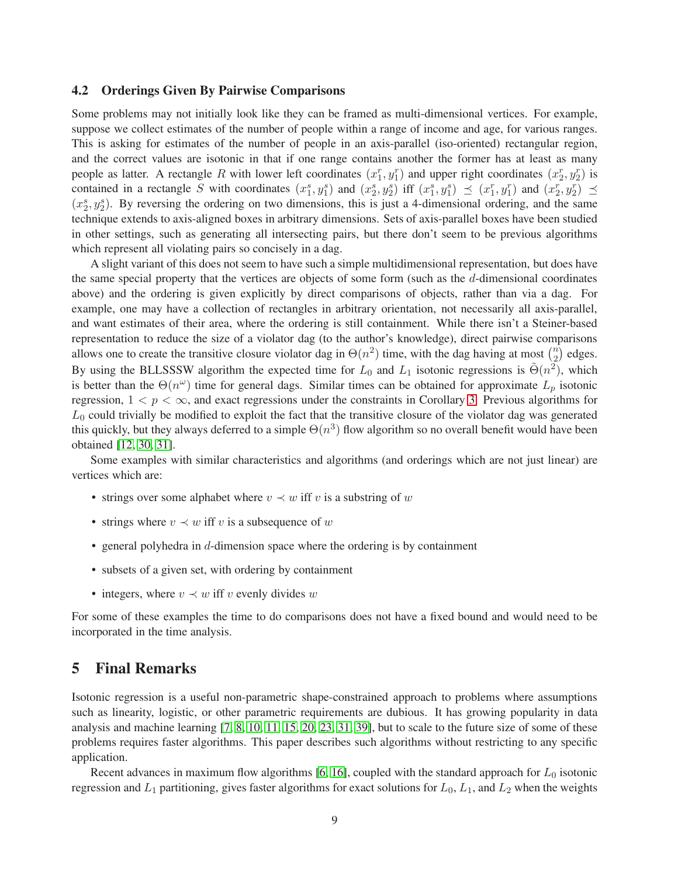#### 4.2 Orderings Given By Pairwise Comparisons

Some problems may not initially look like they can be framed as multi-dimensional vertices. For example, suppose we collect estimates of the number of people within a range of income and age, for various ranges. This is asking for estimates of the number of people in an axis-parallel (iso-oriented) rectangular region, and the correct values are isotonic in that if one range contains another the former has at least as many people as latter. A rectangle R with lower left coordinates  $(x_1^r, y_1^r)$  and upper right coordinates  $(x_2^r, y_2^r)$  is contained in a rectangle S with coordinates  $(x_1^s, y_1^s)$  and  $(x_2^s, y_2^s)$  iff  $(x_1^s, y_1^s) \preceq (x_1^r, y_1^r)$  and  $(x_2^r, y_2^r) \preceq$  $(x_2^s, y_2^s)$ . By reversing the ordering on two dimensions, this is just a 4-dimensional ordering, and the same technique extends to axis-aligned boxes in arbitrary dimensions. Sets of axis-parallel boxes have been studied in other settings, such as generating all intersecting pairs, but there don't seem to be previous algorithms which represent all violating pairs so concisely in a dag.

A slight variant of this does not seem to have such a simple multidimensional representation, but does have the same special property that the vertices are objects of some form (such as the d-dimensional coordinates above) and the ordering is given explicitly by direct comparisons of objects, rather than via a dag. For example, one may have a collection of rectangles in arbitrary orientation, not necessarily all axis-parallel, and want estimates of their area, where the ordering is still containment. While there isn't a Steiner-based representation to reduce the size of a violator dag (to the author's knowledge), direct pairwise comparisons allows one to create the transitive closure violator dag in  $\Theta(n^2)$  time, with the dag having at most  $\binom{n^2}{2}$  $\sum_{2}^{n}$  edges. By using the BLLSSSW algorithm the expected time for  $L_0$  and  $L_1$  isotonic regressions is  $\tilde{\Theta}(n^2)$ , which is better than the  $\Theta(n^{\omega})$  time for general dags. Similar times can be obtained for approximate  $L_p$  isotonic regression,  $1 < p < \infty$ , and exact regressions under the constraints in Corollary [3.](#page-6-1) Previous algorithms for  $L_0$  could trivially be modified to exploit the fact that the transitive closure of the violator dag was generated this quickly, but they always deferred to a simple  $\Theta(n^3)$  flow algorithm so no overall benefit would have been obtained [\[12,](#page-11-1) [30,](#page-12-2) [31\]](#page-12-3).

Some examples with similar characteristics and algorithms (and orderings which are not just linear) are vertices which are:

- strings over some alphabet where  $v \prec w$  iff v is a substring of w
- strings where  $v \prec w$  iff v is a subsequence of w
- general polyhedra in d-dimension space where the ordering is by containment
- subsets of a given set, with ordering by containment
- integers, where  $v \prec w$  iff v evenly divides w

For some of these examples the time to do comparisons does not have a fixed bound and would need to be incorporated in the time analysis.

## <span id="page-8-0"></span>5 Final Remarks

Isotonic regression is a useful non-parametric shape-constrained approach to problems where assumptions such as linearity, logistic, or other parametric requirements are dubious. It has growing popularity in data analysis and machine learning [\[7,](#page-10-7) [8,](#page-10-1) [10,](#page-11-12) [11,](#page-11-0) [15,](#page-11-13) [20,](#page-11-14) [23,](#page-11-15) [31,](#page-12-3) [39\]](#page-12-13), but to scale to the future size of some of these problems requires faster algorithms. This paper describes such algorithms without restricting to any specific application.

Recent advances in maximum flow algorithms [\[6,](#page-10-4) [16\]](#page-11-7), coupled with the standard approach for  $L_0$  isotonic regression and  $L_1$  partitioning, gives faster algorithms for exact solutions for  $L_0$ ,  $L_1$ , and  $L_2$  when the weights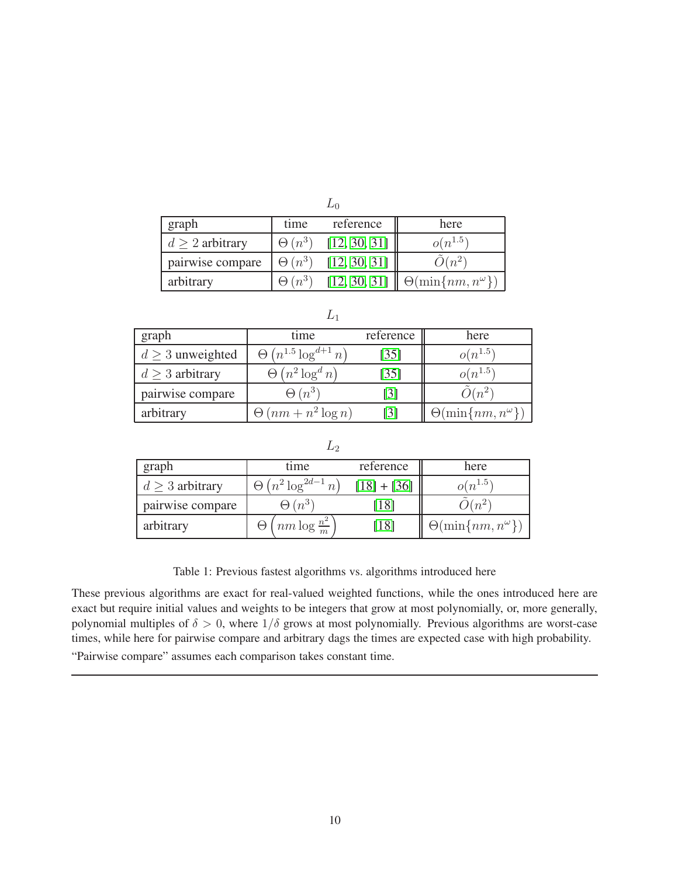| ₽υ                   |               |              |                                  |  |  |
|----------------------|---------------|--------------|----------------------------------|--|--|
| graph                | time          | reference    | here                             |  |  |
| $d \geq 2$ arbitrary | $\Theta(n^3)$ | [12, 30, 31] | $o(n^{1.5})$                     |  |  |
| pairwise compare     | $\Theta(n^3)$ | [12, 30, 31] | $O(n^2)$                         |  |  |
| arbitrary            | $\Theta(n^3)$ | [12, 30, 31] | $\Theta(\min\{nm, n^{\omega}\})$ |  |  |

|                       | ∸                             |           |                                 |
|-----------------------|-------------------------------|-----------|---------------------------------|
| graph                 | time                          | reference | here                            |
| $d \geq 3$ unweighted | $\Theta(n^{1.5}\log^{d+1} n)$ | [35]      | $o(n^{1.5})$                    |
| $d \geq 3$ arbitrary  | $\Theta(n^2 \log^d n)$        | $[35]$    | $o(n^{1.5})$                    |
| pairwise compare      | $\Theta\left(n^3\right)$      | [3]       | $\cdot \nu(n^2)$                |
| arbitrary             | $\Theta(nm + n^2 \log n)$     | [3]       | $\Theta(\min\{nm,n^{\omega}\})$ |

| graph             | time                                 | reference     | here                            |
|-------------------|--------------------------------------|---------------|---------------------------------|
| $d > 3$ arbitrary | $\Theta\left(n^2\log^{2d-1}n\right)$ | $[18] + [36]$ | $o(n^{1.5})$                    |
| pairwise compare  | $\Theta(n^3)$                        | 181           | $n^2$                           |
| arbitrary         | $nm \log \frac{n^2}{m}$<br>⊖         | [18]          | $\Theta(\min\{nm,n^{\omega}\})$ |

<span id="page-9-0"></span>Table 1: Previous fastest algorithms vs. algorithms introduced here

These previous algorithms are exact for real-valued weighted functions, while the ones introduced here are exact but require initial values and weights to be integers that grow at most polynomially, or, more generally, polynomial multiples of  $\delta > 0$ , where  $1/\delta$  grows at most polynomially. Previous algorithms are worst-case times, while here for pairwise compare and arbitrary dags the times are expected case with high probability.

"Pairwise compare" assumes each comparison takes constant time.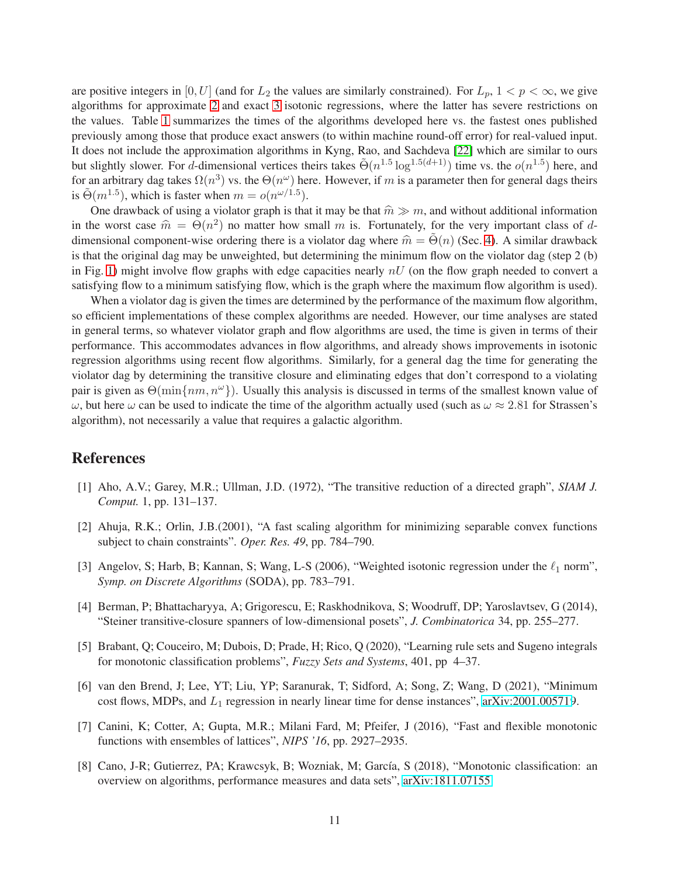are positive integers in [0, U] (and for  $L_2$  the values are similarly constrained). For  $L_p$ ,  $1 < p < \infty$ , we give algorithms for approximate [2](#page-5-1) and exact [3](#page-6-1) isotonic regressions, where the latter has severe restrictions on the values. Table [1](#page-9-0) summarizes the times of the algorithms developed here vs. the fastest ones published previously among those that produce exact answers (to within machine round-off error) for real-valued input. It does not include the approximation algorithms in Kyng, Rao, and Sachdeva [\[22\]](#page-11-6) which are similar to ours but slightly slower. For d-dimensional vertices theirs takes  $\tilde{\Theta}(n^{1.5} \log^{1.5(d+1)})$  time vs. the  $o(n^{1.5})$  here, and for an arbitrary dag takes  $\Omega(n^3)$  vs. the  $\Theta(n^{\omega})$  here. However, if m is a parameter then for general dags theirs is  $\tilde{\Theta}(m^{1.5})$ , which is faster when  $m = o(n^{\omega/1.5})$ .

One drawback of using a violator graph is that it may be that  $\hat{m} \gg m$ , and without additional information in the worst case  $\hat{m} = \Theta(n^2)$  no matter how small m is. Fortunately, for the very important class of ddimensional component-wise ordering there is a violator dag where  $\hat{m} = \Theta(n)$  (Sec. [4\)](#page-6-0). A similar drawback is that the original dag may be unweighted, but determining the minimum flow on the violator dag (step 2 (b) in Fig. [1\)](#page-3-0) might involve flow graphs with edge capacities nearly  $nU$  (on the flow graph needed to convert a satisfying flow to a minimum satisfying flow, which is the graph where the maximum flow algorithm is used).

When a violator dag is given the times are determined by the performance of the maximum flow algorithm, so efficient implementations of these complex algorithms are needed. However, our time analyses are stated in general terms, so whatever violator graph and flow algorithms are used, the time is given in terms of their performance. This accommodates advances in flow algorithms, and already shows improvements in isotonic regression algorithms using recent flow algorithms. Similarly, for a general dag the time for generating the violator dag by determining the transitive closure and eliminating edges that don't correspond to a violating pair is given as  $\Theta(\min\{nm, n^{\omega}\})$ . Usually this analysis is discussed in terms of the smallest known value of  $ω$ , but here ω can be used to indicate the time of the algorithm actually used (such as  $ω ≈ 2.81$  for Strassen's algorithm), not necessarily a value that requires a galactic algorithm.

## <span id="page-10-5"></span>References

- <span id="page-10-3"></span>[1] Aho, A.V.; Garey, M.R.; Ullman, J.D. (1972), "The transitive reduction of a directed graph", *SIAM J. Comput.* 1, pp. 131–137.
- <span id="page-10-2"></span>[2] Ahuja, R.K.; Orlin, J.B.(2001), "A fast scaling algorithm for minimizing separable convex functions subject to chain constraints". *Oper. Res. 49*, pp. 784–790.
- <span id="page-10-6"></span>[3] Angelov, S; Harb, B; Kannan, S; Wang, L-S (2006), "Weighted isotonic regression under the  $\ell_1$  norm", *Symp. on Discrete Algorithms* (SODA), pp. 783–791.
- <span id="page-10-0"></span>[4] Berman, P; Bhattacharyya, A; Grigorescu, E; Raskhodnikova, S; Woodruff, DP; Yaroslavtsev, G (2014), "Steiner transitive-closure spanners of low-dimensional posets", *J. Combinatorica* 34, pp. 255–277.
- [5] Brabant, Q; Couceiro, M; Dubois, D; Prade, H; Rico, Q (2020), "Learning rule sets and Sugeno integrals for monotonic classification problems", *Fuzzy Sets and Systems*, 401, pp 4–37.
- <span id="page-10-4"></span>[6] van den Brend, J; Lee, YT; Liu, YP; Saranurak, T; Sidford, A; Song, Z; Wang, D (2021), "Minimum cost flows, MDPs, and  $L_1$  regression in nearly linear time for dense instances", [arXiv:2001.005719](http://arxiv.org/abs/2001.00571).
- <span id="page-10-7"></span>[7] Canini, K; Cotter, A; Gupta, M.R.; Milani Fard, M; Pfeifer, J (2016), "Fast and flexible monotonic functions with ensembles of lattices", *NIPS '16*, pp. 2927–2935.
- <span id="page-10-1"></span>[8] Cano, J-R; Gutierrez, PA; Krawcsyk, B; Wozniak, M; García, S (2018), "Monotonic classification: an overview on algorithms, performance measures and data sets", [arXiv:1811.07155](http://arxiv.org/abs/1811.07155)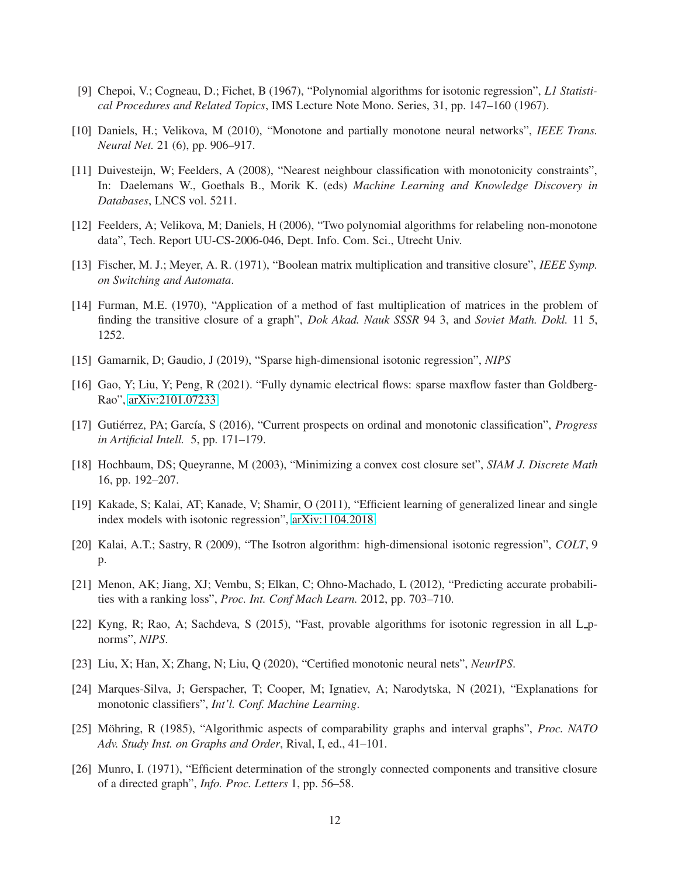- <span id="page-11-12"></span><span id="page-11-5"></span>[9] Chepoi, V.; Cogneau, D.; Fichet, B (1967), "Polynomial algorithms for isotonic regression", *L1 Statistical Procedures and Related Topics*, IMS Lecture Note Mono. Series, 31, pp. 147–160 (1967).
- <span id="page-11-0"></span>[10] Daniels, H.; Velikova, M (2010), "Monotone and partially monotone neural networks", *IEEE Trans. Neural Net.* 21 (6), pp. 906–917.
- [11] Duivesteijn, W; Feelders, A (2008), "Nearest neighbour classification with monotonicity constraints", In: Daelemans W., Goethals B., Morik K. (eds) *Machine Learning and Knowledge Discovery in Databases*, LNCS vol. 5211.
- <span id="page-11-8"></span><span id="page-11-1"></span>[12] Feelders, A; Velikova, M; Daniels, H (2006), "Two polynomial algorithms for relabeling non-monotone data", Tech. Report UU-CS-2006-046, Dept. Info. Com. Sci., Utrecht Univ.
- <span id="page-11-9"></span>[13] Fischer, M. J.; Meyer, A. R. (1971), "Boolean matrix multiplication and transitive closure", *IEEE Symp. on Switching and Automata*.
- [14] Furman, M.E. (1970), "Application of a method of fast multiplication of matrices in the problem of finding the transitive closure of a graph", *Dok Akad. Nauk SSSR* 94 3, and *Soviet Math. Dokl.* 11 5, 1252.
- <span id="page-11-13"></span><span id="page-11-7"></span>[15] Gamarnik, D; Gaudio, J (2019), "Sparse high-dimensional isotonic regression", *NIPS*
- <span id="page-11-2"></span>[16] Gao, Y; Liu, Y; Peng, R (2021). "Fully dynamic electrical flows: sparse maxflow faster than Goldberg-Rao", [arXiv:2101.07233](http://arxiv.org/abs/2101.07233)
- <span id="page-11-4"></span>[17] Gutiérrez, PA; García, S (2016), "Current prospects on ordinal and monotonic classification", *Progress in Artificial Intell.* 5, pp. 171–179.
- <span id="page-11-3"></span>[18] Hochbaum, DS; Queyranne, M (2003), "Minimizing a convex cost closure set", *SIAM J. Discrete Math* 16, pp. 192–207.
- <span id="page-11-14"></span>[19] Kakade, S; Kalai, AT; Kanade, V; Shamir, O (2011), "Efficient learning of generalized linear and single index models with isotonic regression", [arXiv:1104.2018.](http://arxiv.org/abs/1104.2018)
- [20] Kalai, A.T.; Sastry, R (2009), "The Isotron algorithm: high-dimensional isotonic regression", *COLT*, 9 p.
- <span id="page-11-6"></span>[21] Menon, AK; Jiang, XJ; Vembu, S; Elkan, C; Ohno-Machado, L (2012), "Predicting accurate probabilities with a ranking loss", *Proc. Int. Conf Mach Learn.* 2012, pp. 703–710.
- <span id="page-11-15"></span>[22] Kyng, R; Rao, A; Sachdeva, S (2015), "Fast, provable algorithms for isotonic regression in all L pnorms", *NIPS*.
- [23] Liu, X; Han, X; Zhang, N; Liu, Q (2020), "Certified monotonic neural nets", *NeurIPS*.
- <span id="page-11-11"></span>[24] Marques-Silva, J; Gerspacher, T; Cooper, M; Ignatiev, A; Narodytska, N (2021), "Explanations for monotonic classifiers", *Int'l. Conf. Machine Learning*.
- [25] Möhring, R (1985), "Algorithmic aspects of comparability graphs and interval graphs", *Proc. NATO Adv. Study Inst. on Graphs and Order*, Rival, I, ed., 41–101.
- <span id="page-11-10"></span>[26] Munro, I. (1971), "Efficient determination of the strongly connected components and transitive closure of a directed graph", *Info. Proc. Letters* 1, pp. 56–58.